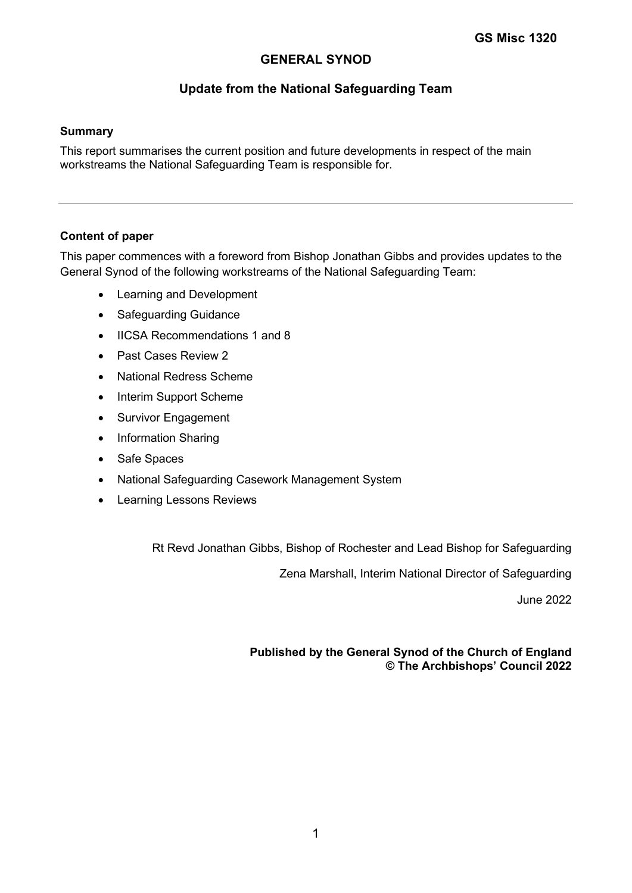# **GENERAL SYNOD**

# **Update from the National Safeguarding Team**

#### **Summary**

This report summarises the current position and future developments in respect of the main workstreams the National Safeguarding Team is responsible for.

### **Content of paper**

This paper commences with a foreword from Bishop Jonathan Gibbs and provides updates to the General Synod of the following workstreams of the National Safeguarding Team:

- Learning and Development
- Safeguarding Guidance
- IICSA Recommendations 1 and 8
- Past Cases Review 2
- National Redress Scheme
- Interim Support Scheme
- Survivor Engagement
- Information Sharing
- Safe Spaces
- National Safeguarding Casework Management System
- Learning Lessons Reviews

Rt Revd Jonathan Gibbs, Bishop of Rochester and Lead Bishop for Safeguarding

Zena Marshall, Interim National Director of Safeguarding

June 2022

### **Published by the General Synod of the Church of England © The Archbishops' Council 2022**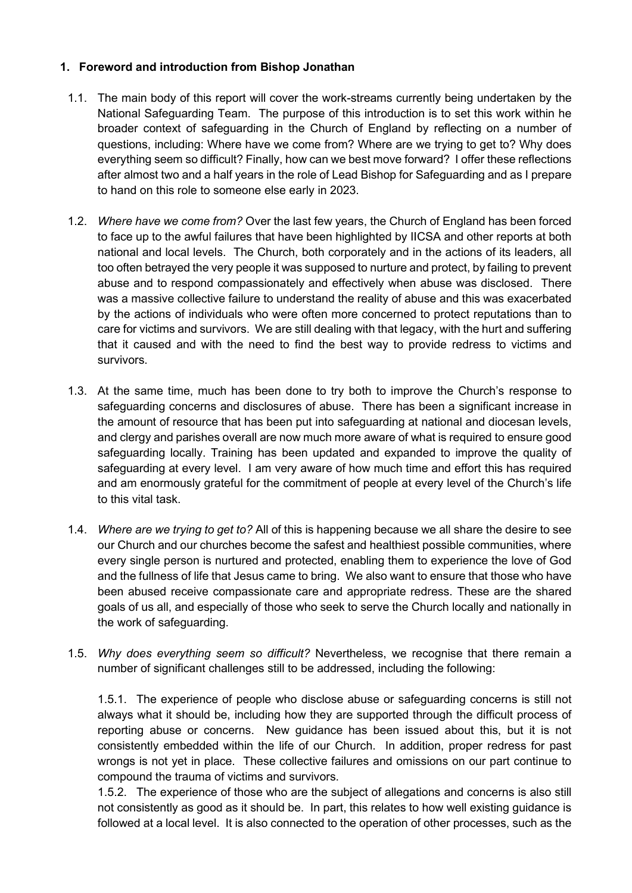## **1. Foreword and introduction from Bishop Jonathan**

- 1.1. The main body of this report will cover the work-streams currently being undertaken by the National Safeguarding Team. The purpose of this introduction is to set this work within he broader context of safeguarding in the Church of England by reflecting on a number of questions, including: Where have we come from? Where are we trying to get to? Why does everything seem so difficult? Finally, how can we best move forward? I offer these reflections after almost two and a half years in the role of Lead Bishop for Safeguarding and as I prepare to hand on this role to someone else early in 2023.
- 1.2. *Where have we come from?* Over the last few years, the Church of England has been forced to face up to the awful failures that have been highlighted by IICSA and other reports at both national and local levels. The Church, both corporately and in the actions of its leaders, all too often betrayed the very people it was supposed to nurture and protect, by failing to prevent abuse and to respond compassionately and effectively when abuse was disclosed. There was a massive collective failure to understand the reality of abuse and this was exacerbated by the actions of individuals who were often more concerned to protect reputations than to care for victims and survivors. We are still dealing with that legacy, with the hurt and suffering that it caused and with the need to find the best way to provide redress to victims and survivors.
- 1.3. At the same time, much has been done to try both to improve the Church's response to safeguarding concerns and disclosures of abuse. There has been a significant increase in the amount of resource that has been put into safeguarding at national and diocesan levels, and clergy and parishes overall are now much more aware of what is required to ensure good safeguarding locally. Training has been updated and expanded to improve the quality of safeguarding at every level. I am very aware of how much time and effort this has required and am enormously grateful for the commitment of people at every level of the Church's life to this vital task.
- 1.4. *Where are we trying to get to?* All of this is happening because we all share the desire to see our Church and our churches become the safest and healthiest possible communities, where every single person is nurtured and protected, enabling them to experience the love of God and the fullness of life that Jesus came to bring. We also want to ensure that those who have been abused receive compassionate care and appropriate redress. These are the shared goals of us all, and especially of those who seek to serve the Church locally and nationally in the work of safeguarding.
- 1.5. *Why does everything seem so difficult?* Nevertheless, we recognise that there remain a number of significant challenges still to be addressed, including the following:

1.5.1. The experience of people who disclose abuse or safeguarding concerns is still not always what it should be, including how they are supported through the difficult process of reporting abuse or concerns. New guidance has been issued about this, but it is not consistently embedded within the life of our Church. In addition, proper redress for past wrongs is not yet in place. These collective failures and omissions on our part continue to compound the trauma of victims and survivors.

1.5.2. The experience of those who are the subject of allegations and concerns is also still not consistently as good as it should be. In part, this relates to how well existing guidance is followed at a local level. It is also connected to the operation of other processes, such as the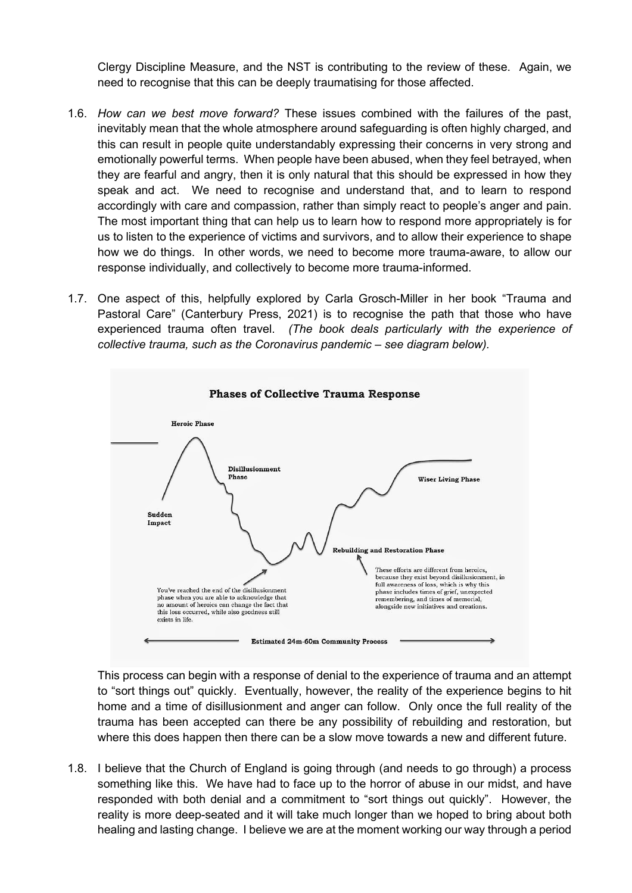Clergy Discipline Measure, and the NST is contributing to the review of these. Again, we need to recognise that this can be deeply traumatising for those affected.

- 1.6. *How can we best move forward?* These issues combined with the failures of the past, inevitably mean that the whole atmosphere around safeguarding is often highly charged, and this can result in people quite understandably expressing their concerns in very strong and emotionally powerful terms. When people have been abused, when they feel betrayed, when they are fearful and angry, then it is only natural that this should be expressed in how they speak and act. We need to recognise and understand that, and to learn to respond accordingly with care and compassion, rather than simply react to people's anger and pain. The most important thing that can help us to learn how to respond more appropriately is for us to listen to the experience of victims and survivors, and to allow their experience to shape how we do things. In other words, we need to become more trauma-aware, to allow our response individually, and collectively to become more trauma-informed.
- 1.7. One aspect of this, helpfully explored by Carla Grosch-Miller in her book "Trauma and Pastoral Care" (Canterbury Press, 2021) is to recognise the path that those who have experienced trauma often travel. *(The book deals particularly with the experience of collective trauma, such as the Coronavirus pandemic – see diagram below).*



This process can begin with a response of denial to the experience of trauma and an attempt to "sort things out" quickly. Eventually, however, the reality of the experience begins to hit home and a time of disillusionment and anger can follow. Only once the full reality of the trauma has been accepted can there be any possibility of rebuilding and restoration, but where this does happen then there can be a slow move towards a new and different future.

1.8. I believe that the Church of England is going through (and needs to go through) a process something like this. We have had to face up to the horror of abuse in our midst, and have responded with both denial and a commitment to "sort things out quickly". However, the reality is more deep-seated and it will take much longer than we hoped to bring about both healing and lasting change. I believe we are at the moment working our way through a period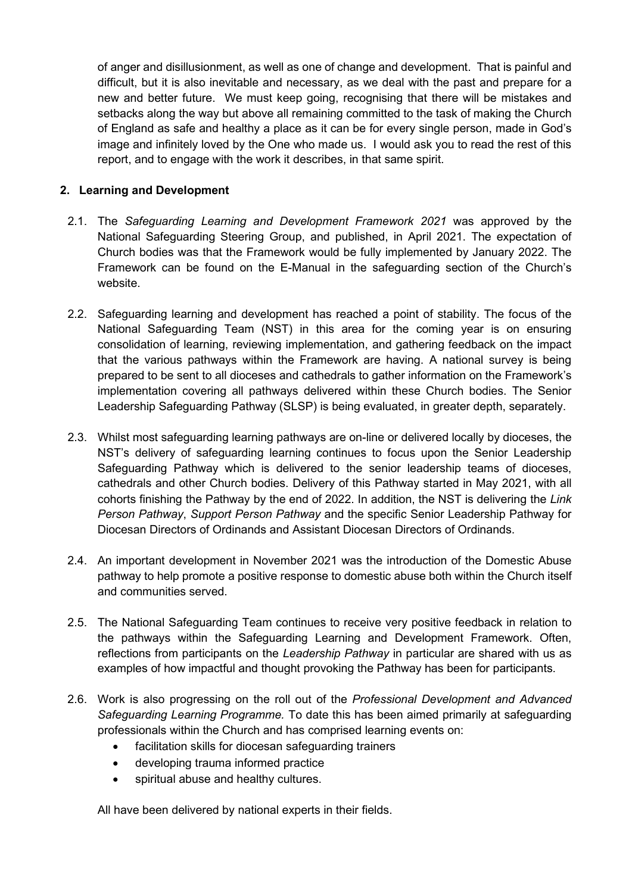of anger and disillusionment, as well as one of change and development. That is painful and difficult, but it is also inevitable and necessary, as we deal with the past and prepare for a new and better future. We must keep going, recognising that there will be mistakes and setbacks along the way but above all remaining committed to the task of making the Church of England as safe and healthy a place as it can be for every single person, made in God's image and infinitely loved by the One who made us. I would ask you to read the rest of this report, and to engage with the work it describes, in that same spirit.

### **2. Learning and Development**

- 2.1. The *Safeguarding Learning and Development Framework 2021* was approved by the National Safeguarding Steering Group, and published, in April 2021. The expectation of Church bodies was that the Framework would be fully implemented by January 2022. The Framework can be found on the E-Manual in the safeguarding section of the Church's website.
- 2.2. Safeguarding learning and development has reached a point of stability. The focus of the National Safeguarding Team (NST) in this area for the coming year is on ensuring consolidation of learning, reviewing implementation, and gathering feedback on the impact that the various pathways within the Framework are having. A national survey is being prepared to be sent to all dioceses and cathedrals to gather information on the Framework's implementation covering all pathways delivered within these Church bodies. The Senior Leadership Safeguarding Pathway (SLSP) is being evaluated, in greater depth, separately.
- 2.3. Whilst most safeguarding learning pathways are on-line or delivered locally by dioceses, the NST's delivery of safeguarding learning continues to focus upon the Senior Leadership Safeguarding Pathway which is delivered to the senior leadership teams of dioceses, cathedrals and other Church bodies. Delivery of this Pathway started in May 2021, with all cohorts finishing the Pathway by the end of 2022. In addition, the NST is delivering the *Link Person Pathway*, *Support Person Pathway* and the specific Senior Leadership Pathway for Diocesan Directors of Ordinands and Assistant Diocesan Directors of Ordinands.
- 2.4. An important development in November 2021 was the introduction of the Domestic Abuse pathway to help promote a positive response to domestic abuse both within the Church itself and communities served.
- 2.5. The National Safeguarding Team continues to receive very positive feedback in relation to the pathways within the Safeguarding Learning and Development Framework. Often, reflections from participants on the *Leadership Pathway* in particular are shared with us as examples of how impactful and thought provoking the Pathway has been for participants.
- 2.6. Work is also progressing on the roll out of the *Professional Development and Advanced Safeguarding Learning Programme.* To date this has been aimed primarily at safeguarding professionals within the Church and has comprised learning events on:
	- facilitation skills for diocesan safeguarding trainers
	- developing trauma informed practice
	- spiritual abuse and healthy cultures.

All have been delivered by national experts in their fields.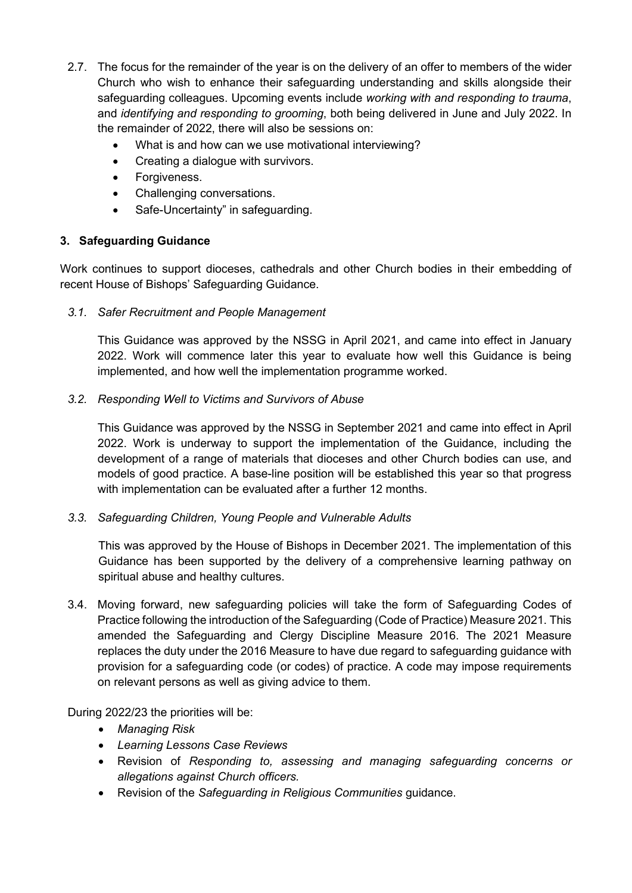- 2.7. The focus for the remainder of the year is on the delivery of an offer to members of the wider Church who wish to enhance their safeguarding understanding and skills alongside their safeguarding colleagues. Upcoming events include *working with and responding to trauma*, and *identifying and responding to grooming*, both being delivered in June and July 2022. In the remainder of 2022, there will also be sessions on:
	- What is and how can we use motivational interviewing?
	- Creating a dialogue with survivors.
	- Forgiveness.
	- Challenging conversations.
	- Safe-Uncertainty" in safeguarding.

## **3. Safeguarding Guidance**

Work continues to support dioceses, cathedrals and other Church bodies in their embedding of recent House of Bishops' Safeguarding Guidance.

### *3.1. Safer Recruitment and People Management*

This Guidance was approved by the NSSG in April 2021, and came into effect in January 2022. Work will commence later this year to evaluate how well this Guidance is being implemented, and how well the implementation programme worked.

### *3.2. Responding Well to Victims and Survivors of Abuse*

This Guidance was approved by the NSSG in September 2021 and came into effect in April 2022. Work is underway to support the implementation of the Guidance, including the development of a range of materials that dioceses and other Church bodies can use, and models of good practice. A base-line position will be established this year so that progress with implementation can be evaluated after a further 12 months.

## *3.3. Safeguarding Children, Young People and Vulnerable Adults*

This was approved by the House of Bishops in December 2021. The implementation of this Guidance has been supported by the delivery of a comprehensive learning pathway on spiritual abuse and healthy cultures.

3.4. Moving forward, new safeguarding policies will take the form of Safeguarding Codes of Practice following the introduction of the Safeguarding (Code of Practice) Measure 2021. This amended the Safeguarding and Clergy Discipline Measure 2016. The 2021 Measure replaces the duty under the 2016 Measure to have due regard to safeguarding guidance with provision for a safeguarding code (or codes) of practice. A code may impose requirements on relevant persons as well as giving advice to them.

## During 2022/23 the priorities will be:

- *Managing Risk*
- *Learning Lessons Case Reviews*
- Revision of *Responding to, assessing and managing safeguarding concerns or allegations against Church officers.*
- Revision of the *Safeguarding in Religious Communities* guidance.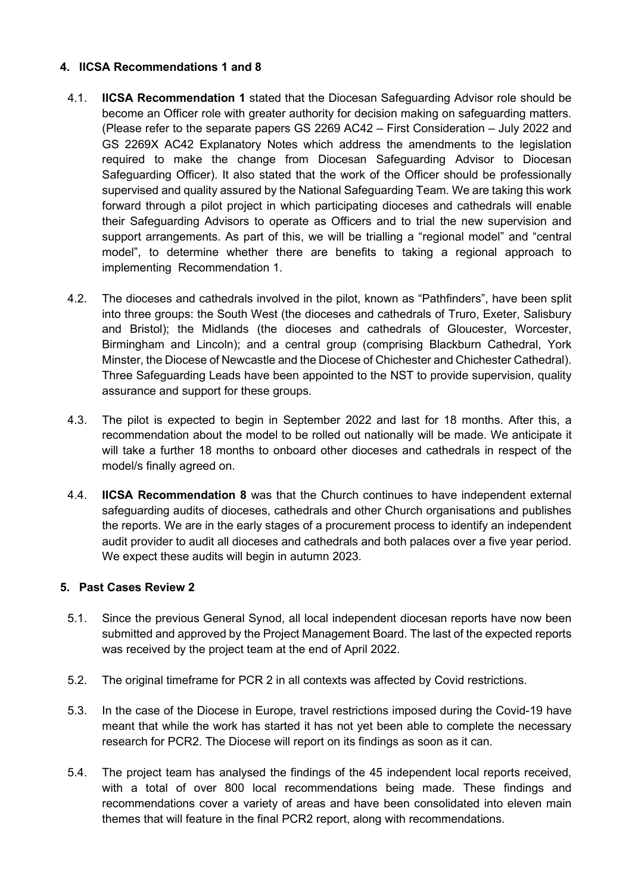### **4. IICSA Recommendations 1 and 8**

- 4.1. **IICSA Recommendation 1** stated that the Diocesan Safeguarding Advisor role should be become an Officer role with greater authority for decision making on safeguarding matters. (Please refer to the separate papers GS 2269 AC42 – First Consideration – July 2022 and GS 2269X AC42 Explanatory Notes which address the amendments to the legislation required to make the change from Diocesan Safeguarding Advisor to Diocesan Safeguarding Officer). It also stated that the work of the Officer should be professionally supervised and quality assured by the National Safeguarding Team. We are taking this work forward through a pilot project in which participating dioceses and cathedrals will enable their Safeguarding Advisors to operate as Officers and to trial the new supervision and support arrangements. As part of this, we will be trialling a "regional model" and "central model", to determine whether there are benefits to taking a regional approach to implementing Recommendation 1.
- 4.2. The dioceses and cathedrals involved in the pilot, known as "Pathfinders", have been split into three groups: the South West (the dioceses and cathedrals of Truro, Exeter, Salisbury and Bristol); the Midlands (the dioceses and cathedrals of Gloucester, Worcester, Birmingham and Lincoln); and a central group (comprising Blackburn Cathedral, York Minster, the Diocese of Newcastle and the Diocese of Chichester and Chichester Cathedral). Three Safeguarding Leads have been appointed to the NST to provide supervision, quality assurance and support for these groups.
- 4.3. The pilot is expected to begin in September 2022 and last for 18 months. After this, a recommendation about the model to be rolled out nationally will be made. We anticipate it will take a further 18 months to onboard other dioceses and cathedrals in respect of the model/s finally agreed on.
- 4.4. **IICSA Recommendation 8** was that the Church continues to have independent external safeguarding audits of dioceses, cathedrals and other Church organisations and publishes the reports. We are in the early stages of a procurement process to identify an independent audit provider to audit all dioceses and cathedrals and both palaces over a five year period. We expect these audits will begin in autumn 2023.

#### **5. Past Cases Review 2**

- 5.1. Since the previous General Synod, all local independent diocesan reports have now been submitted and approved by the Project Management Board. The last of the expected reports was received by the project team at the end of April 2022.
- 5.2. The original timeframe for PCR 2 in all contexts was affected by Covid restrictions.
- 5.3. In the case of the Diocese in Europe, travel restrictions imposed during the Covid-19 have meant that while the work has started it has not yet been able to complete the necessary research for PCR2. The Diocese will report on its findings as soon as it can.
- 5.4. The project team has analysed the findings of the 45 independent local reports received, with a total of over 800 local recommendations being made. These findings and recommendations cover a variety of areas and have been consolidated into eleven main themes that will feature in the final PCR2 report, along with recommendations.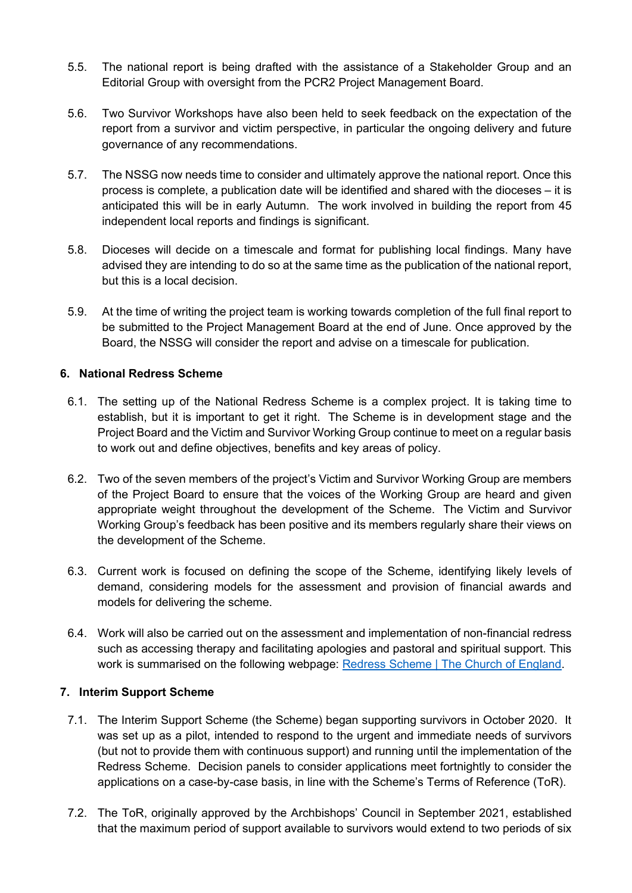- 5.5. The national report is being drafted with the assistance of a Stakeholder Group and an Editorial Group with oversight from the PCR2 Project Management Board.
- 5.6. Two Survivor Workshops have also been held to seek feedback on the expectation of the report from a survivor and victim perspective, in particular the ongoing delivery and future governance of any recommendations.
- 5.7. The NSSG now needs time to consider and ultimately approve the national report. Once this process is complete, a publication date will be identified and shared with the dioceses – it is anticipated this will be in early Autumn. The work involved in building the report from 45 independent local reports and findings is significant.
- 5.8. Dioceses will decide on a timescale and format for publishing local findings. Many have advised they are intending to do so at the same time as the publication of the national report, but this is a local decision.
- 5.9. At the time of writing the project team is working towards completion of the full final report to be submitted to the Project Management Board at the end of June. Once approved by the Board, the NSSG will consider the report and advise on a timescale for publication.

### **6. National Redress Scheme**

- 6.1. The setting up of the National Redress Scheme is a complex project. It is taking time to establish, but it is important to get it right. The Scheme is in development stage and the Project Board and the Victim and Survivor Working Group continue to meet on a regular basis to work out and define objectives, benefits and key areas of policy.
- 6.2. Two of the seven members of the project's Victim and Survivor Working Group are members of the Project Board to ensure that the voices of the Working Group are heard and given appropriate weight throughout the development of the Scheme. The Victim and Survivor Working Group's feedback has been positive and its members regularly share their views on the development of the Scheme.
- 6.3. Current work is focused on defining the scope of the Scheme, identifying likely levels of demand, considering models for the assessment and provision of financial awards and models for delivering the scheme.
- 6.4. Work will also be carried out on the assessment and implementation of non-financial redress such as accessing therapy and facilitating apologies and pastoral and spiritual support. This work is summarised on the following webpage: [Redress Scheme | The Church of England.](https://www.churchofengland.org/safeguarding/redress-scheme)

## **7. Interim Support Scheme**

- 7.1. The Interim Support Scheme (the Scheme) began supporting survivors in October 2020. It was set up as a pilot, intended to respond to the urgent and immediate needs of survivors (but not to provide them with continuous support) and running until the implementation of the Redress Scheme. Decision panels to consider applications meet fortnightly to consider the applications on a case-by-case basis, in line with the Scheme's Terms of Reference (ToR).
- 7.2. The ToR, originally approved by the Archbishops' Council in September 2021, established that the maximum period of support available to survivors would extend to two periods of six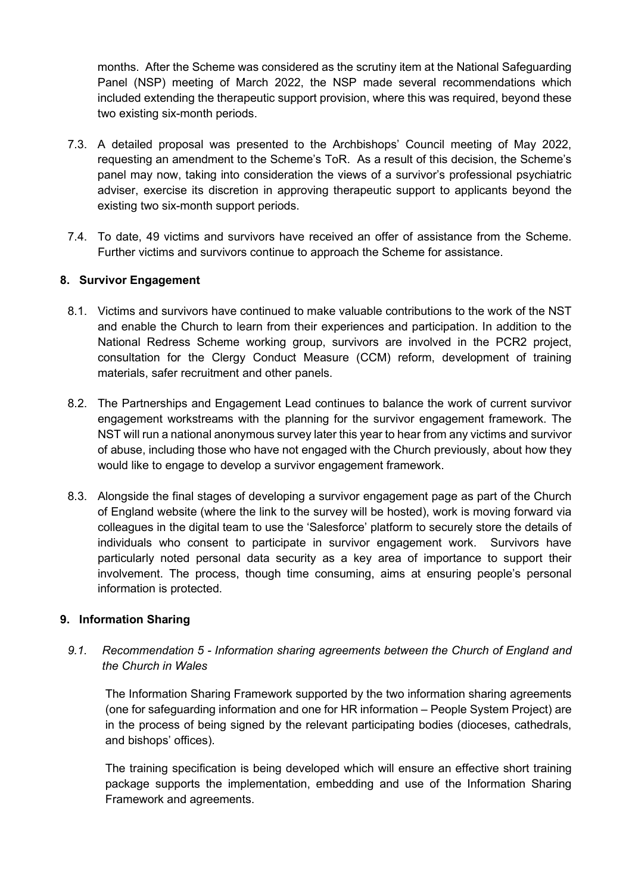months. After the Scheme was considered as the scrutiny item at the National Safeguarding Panel (NSP) meeting of March 2022, the NSP made several recommendations which included extending the therapeutic support provision, where this was required, beyond these two existing six-month periods.

- 7.3. A detailed proposal was presented to the Archbishops' Council meeting of May 2022, requesting an amendment to the Scheme's ToR. As a result of this decision, the Scheme's panel may now, taking into consideration the views of a survivor's professional psychiatric adviser, exercise its discretion in approving therapeutic support to applicants beyond the existing two six-month support periods.
- 7.4. To date, 49 victims and survivors have received an offer of assistance from the Scheme. Further victims and survivors continue to approach the Scheme for assistance.

### **8. Survivor Engagement**

- 8.1. Victims and survivors have continued to make valuable contributions to the work of the NST and enable the Church to learn from their experiences and participation. In addition to the National Redress Scheme working group, survivors are involved in the PCR2 project, consultation for the Clergy Conduct Measure (CCM) reform, development of training materials, safer recruitment and other panels.
- 8.2. The Partnerships and Engagement Lead continues to balance the work of current survivor engagement workstreams with the planning for the survivor engagement framework. The NST will run a national anonymous survey later this year to hear from any victims and survivor of abuse, including those who have not engaged with the Church previously, about how they would like to engage to develop a survivor engagement framework.
- 8.3. Alongside the final stages of developing a survivor engagement page as part of the Church of England website (where the link to the survey will be hosted), work is moving forward via colleagues in the digital team to use the 'Salesforce' platform to securely store the details of individuals who consent to participate in survivor engagement work. Survivors have particularly noted personal data security as a key area of importance to support their involvement. The process, though time consuming, aims at ensuring people's personal information is protected.

#### **9. Information Sharing**

*9.1. Recommendation 5 - Information sharing agreements between the Church of England and the Church in Wales* 

The Information Sharing Framework supported by the two information sharing agreements (one for safeguarding information and one for HR information – People System Project) are in the process of being signed by the relevant participating bodies (dioceses, cathedrals, and bishops' offices).

The training specification is being developed which will ensure an effective short training package supports the implementation, embedding and use of the Information Sharing Framework and agreements.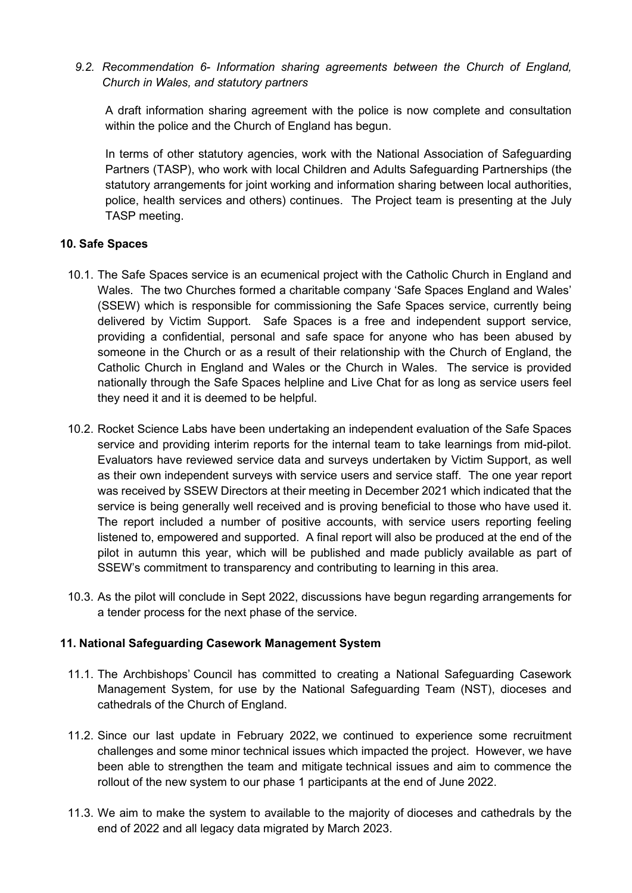*9.2. Recommendation 6- Information sharing agreements between the Church of England, Church in Wales, and statutory partners* 

A draft information sharing agreement with the police is now complete and consultation within the police and the Church of England has begun.

In terms of other statutory agencies, work with the National Association of Safeguarding Partners (TASP), who work with local Children and Adults Safeguarding Partnerships (the statutory arrangements for joint working and information sharing between local authorities, police, health services and others) continues. The Project team is presenting at the July TASP meeting.

### **10. Safe Spaces**

- 10.1. The Safe Spaces service is an ecumenical project with the Catholic Church in England and Wales. The two Churches formed a charitable company 'Safe Spaces England and Wales' (SSEW) which is responsible for commissioning the Safe Spaces service, currently being delivered by Victim Support. Safe Spaces is a free and independent support service, providing a confidential, personal and safe space for anyone who has been abused by someone in the Church or as a result of their relationship with the Church of England, the Catholic Church in England and Wales or the Church in Wales. The service is provided nationally through the Safe Spaces helpline and Live Chat for as long as service users feel they need it and it is deemed to be helpful.
- 10.2. Rocket Science Labs have been undertaking an independent evaluation of the Safe Spaces service and providing interim reports for the internal team to take learnings from mid-pilot. Evaluators have reviewed service data and surveys undertaken by Victim Support, as well as their own independent surveys with service users and service staff. The one year report was received by SSEW Directors at their meeting in December 2021 which indicated that the service is being generally well received and is proving beneficial to those who have used it. The report included a number of positive accounts, with service users reporting feeling listened to, empowered and supported. A final report will also be produced at the end of the pilot in autumn this year, which will be published and made publicly available as part of SSEW's commitment to transparency and contributing to learning in this area.
- 10.3. As the pilot will conclude in Sept 2022, discussions have begun regarding arrangements for a tender process for the next phase of the service.

#### **11. National Safeguarding Casework Management System**

- 11.1. The Archbishops' Council has committed to creating a National Safeguarding Casework Management System, for use by the National Safeguarding Team (NST), dioceses and cathedrals of the Church of England.
- 11.2. Since our last update in February 2022, we continued to experience some recruitment challenges and some minor technical issues which impacted the project. However, we have been able to strengthen the team and mitigate technical issues and aim to commence the rollout of the new system to our phase 1 participants at the end of June 2022.
- 11.3. We aim to make the system to available to the majority of dioceses and cathedrals by the end of 2022 and all legacy data migrated by March 2023.